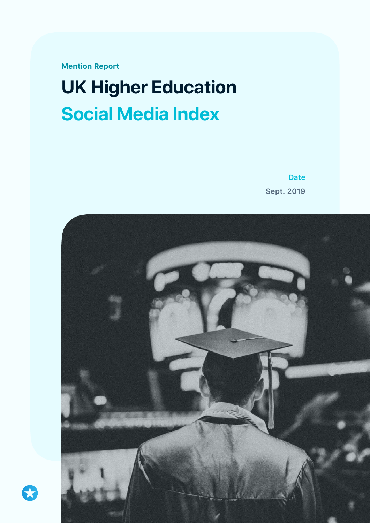**Mention Report** 

# **UK Higher Education Social Media Index**

**Date Sept. 2019**

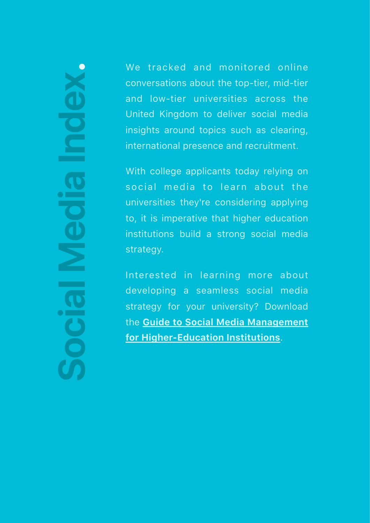# **Social Media Index .**

We tracked and monitored online conversations about the top-tier, mid-tier and low-tier universities across the United Kingdom to deliver social media insights around topics such as clearing, international presence and recruitment.

With college applicants today relying on social media to learn about the universities they're considering applying to, it is imperative that higher education institutions build a strong social media strategy.

Interested in learning more about developing a seamless social media strategy for your university? Download the **[Guide to Social Media Management](https://info.mention.com/en/hied-social-media-guide)  [for Higher-Education Institutions](https://info.mention.com/en/hied-social-media-guide)**.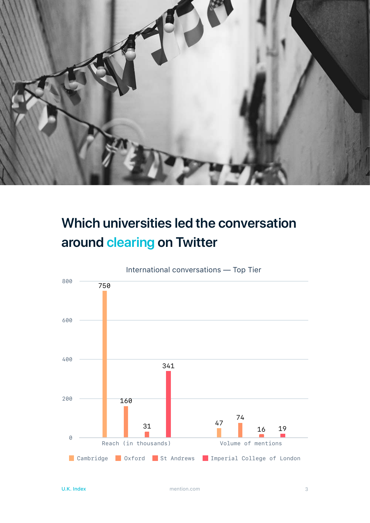

## **Which universities led the conversation around clearing on Twitter**

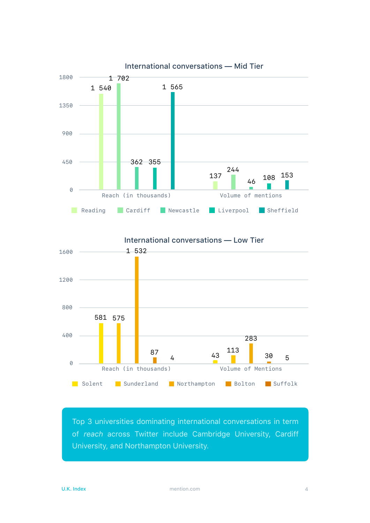



Top 3 universities dominating international conversations in term of *reach* across Twitter include Cambridge University, Cardiff University, and Northampton University.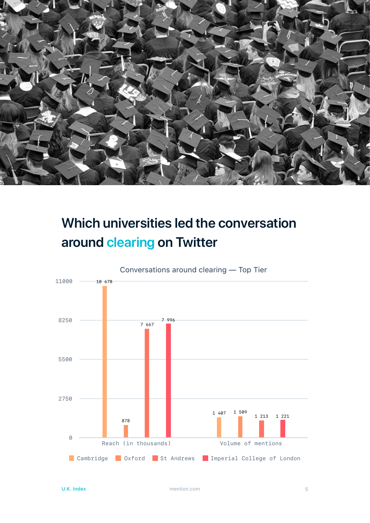

### **Which universities led the conversation around clearing on Twitter**

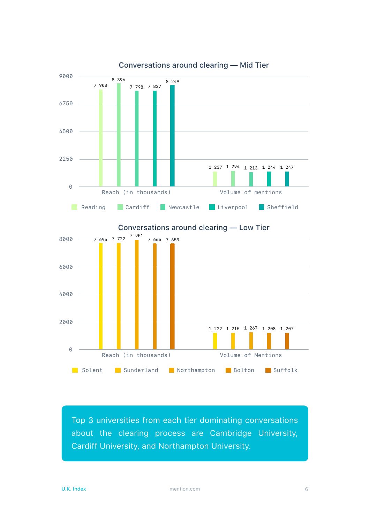

Conversations around clearing — Mid Tier

Top 3 universities from each tier dominating conversations about the clearing process are Cambridge University, Cardiff University, and Northampton University.

Solent Sunderland Northampton Bolton Suffolk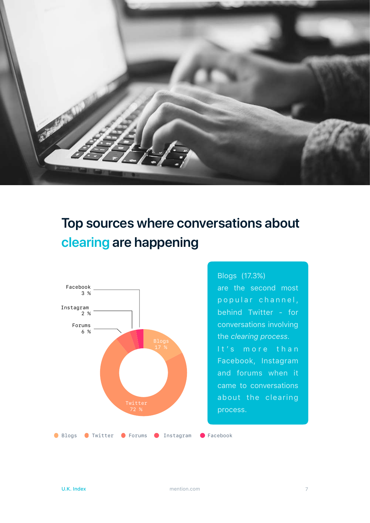

### **Top sources where conversations about clearing are happening**



Blogs (17.3%) are the second most p o p u l a r c h a n n e l, behind Twitter - for conversations involving the *clearing process*. It's more than Facebook, Instagram and forums when it came to conversations about the clearing process.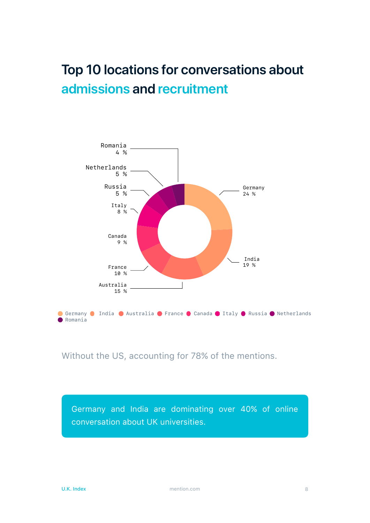### **Top 10 locations for conversations about admissions and recruitment**



Without the US, accounting for 78% of the mentions.

Germany and India are dominating over 40% of online conversation about UK universities.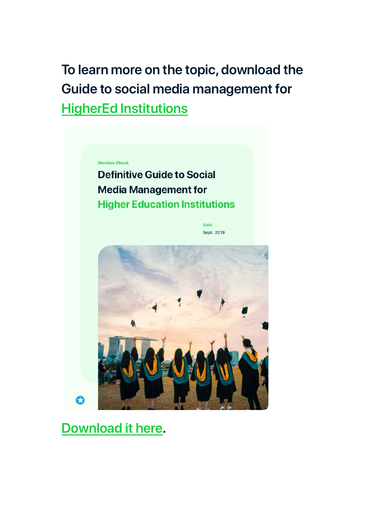**To learn more on the topic, download the Guide to social media management for [HigherEd Institutions](https://info.mention.com/en/hied-social-media-guide)**



**Definitive Guide to Social Media Management for Higher Education Institutions** 

> Date Sept. 2019



### **[Download it here.](https://info.mention.com/en/hied-social-media-guide)**